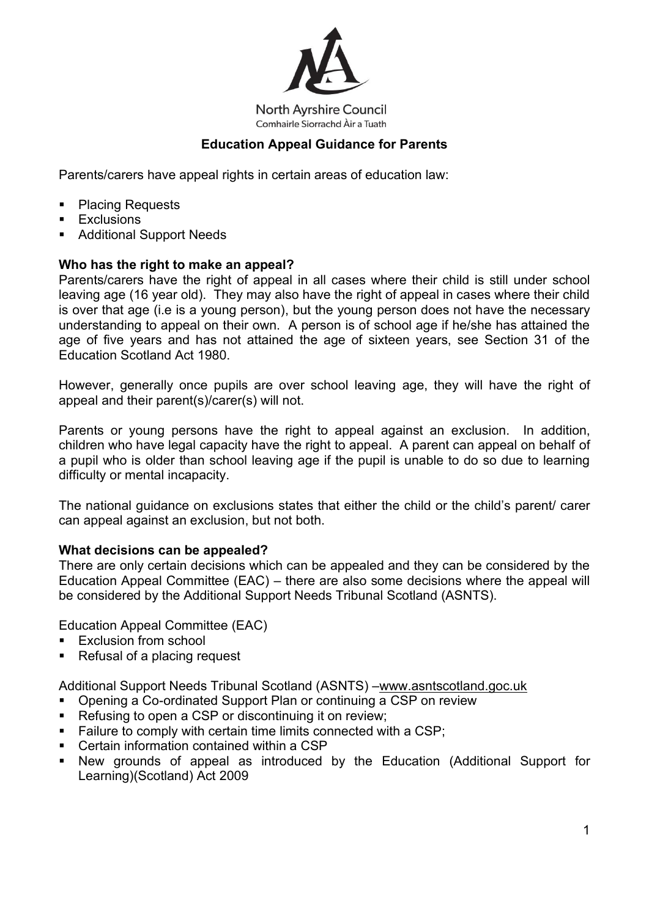

**North Ayrshire Council** Comhairle Siorrachd Àir a Tuath

# **Education Appeal Guidance for Parents**

Parents/carers have appeal rights in certain areas of education law:

- Placing Requests
- Exclusions
- Additional Support Needs

## **Who has the right to make an appeal?**

Parents/carers have the right of appeal in all cases where their child is still under school leaving age (16 year old). They may also have the right of appeal in cases where their child is over that age (i.e is a young person), but the young person does not have the necessary understanding to appeal on their own. A person is of school age if he/she has attained the age of five years and has not attained the age of sixteen years, see Section 31 of the Education Scotland Act 1980.

However, generally once pupils are over school leaving age, they will have the right of appeal and their parent(s)/carer(s) will not.

Parents or young persons have the right to appeal against an exclusion. In addition, children who have legal capacity have the right to appeal. A parent can appeal on behalf of a pupil who is older than school leaving age if the pupil is unable to do so due to learning difficulty or mental incapacity.

The national guidance on exclusions states that either the child or the child's parent/ carer can appeal against an exclusion, but not both.

#### **What decisions can be appealed?**

There are only certain decisions which can be appealed and they can be considered by the Education Appeal Committee (EAC) – there are also some decisions where the appeal will be considered by the Additional Support Needs Tribunal Scotland (ASNTS).

Education Appeal Committee (EAC)

- **Exclusion from school**
- Refusal of a placing request

Additional Support Needs Tribunal Scotland (ASNTS) –www.asntscotland.goc.uk

- Opening a Co-ordinated Support Plan or continuing a CSP on review
- Refusing to open a CSP or discontinuing it on review;
- Failure to comply with certain time limits connected with a CSP;
- Certain information contained within a CSP
- New grounds of appeal as introduced by the Education (Additional Support for Learning)(Scotland) Act 2009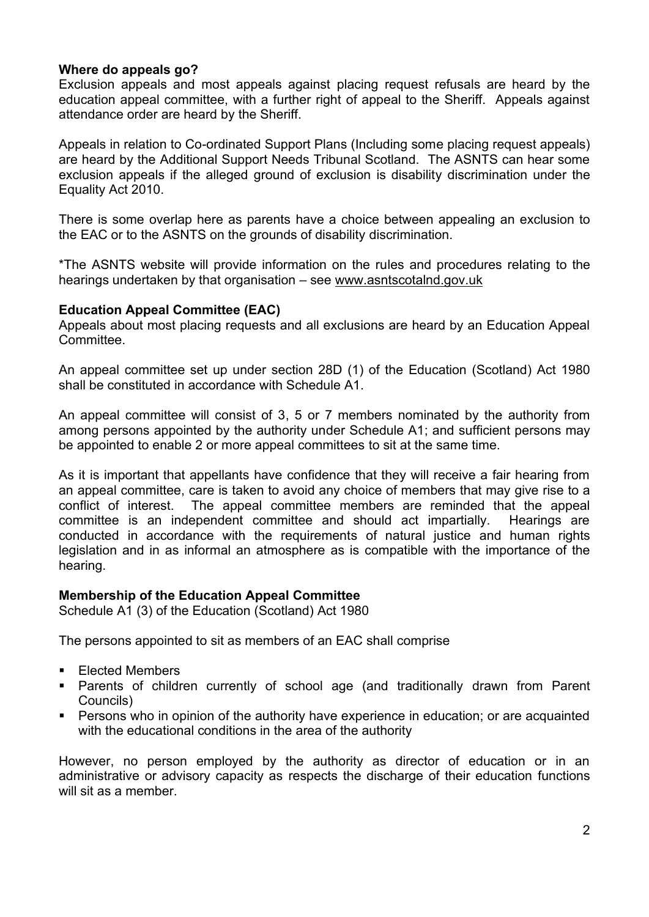## **Where do appeals go?**

Exclusion appeals and most appeals against placing request refusals are heard by the education appeal committee, with a further right of appeal to the Sheriff. Appeals against attendance order are heard by the Sheriff.

Appeals in relation to Co-ordinated Support Plans (Including some placing request appeals) are heard by the Additional Support Needs Tribunal Scotland. The ASNTS can hear some exclusion appeals if the alleged ground of exclusion is disability discrimination under the Equality Act 2010.

There is some overlap here as parents have a choice between appealing an exclusion to the EAC or to the ASNTS on the grounds of disability discrimination.

\*The ASNTS website will provide information on the rules and procedures relating to the hearings undertaken by that organisation – see www.asntscotalnd.gov.uk

#### **Education Appeal Committee (EAC)**

Appeals about most placing requests and all exclusions are heard by an Education Appeal Committee.

An appeal committee set up under section 28D (1) of the Education (Scotland) Act 1980 shall be constituted in accordance with Schedule A1.

An appeal committee will consist of 3, 5 or 7 members nominated by the authority from among persons appointed by the authority under Schedule A1; and sufficient persons may be appointed to enable 2 or more appeal committees to sit at the same time.

As it is important that appellants have confidence that they will receive a fair hearing from an appeal committee, care is taken to avoid any choice of members that may give rise to a conflict of interest. The appeal committee members are reminded that the appeal committee is an independent committee and should act impartially. Hearings are conducted in accordance with the requirements of natural justice and human rights legislation and in as informal an atmosphere as is compatible with the importance of the hearing.

#### **Membership of the Education Appeal Committee**

Schedule A1 (3) of the Education (Scotland) Act 1980

The persons appointed to sit as members of an EAC shall comprise

- Elected Members
- Parents of children currently of school age (and traditionally drawn from Parent Councils)
- Persons who in opinion of the authority have experience in education; or are acquainted with the educational conditions in the area of the authority

However, no person employed by the authority as director of education or in an administrative or advisory capacity as respects the discharge of their education functions will sit as a member.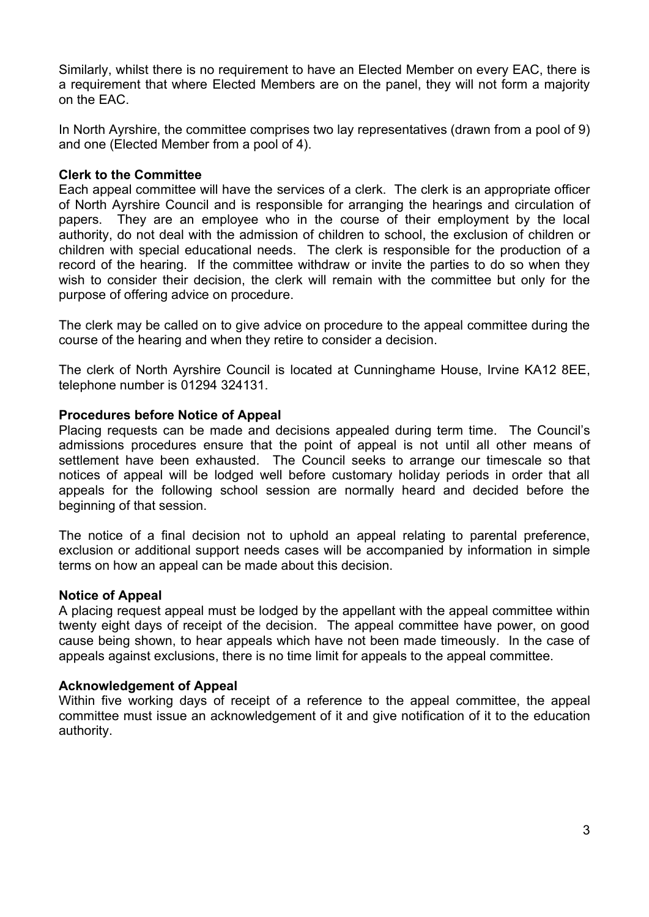Similarly, whilst there is no requirement to have an Elected Member on every EAC, there is a requirement that where Elected Members are on the panel, they will not form a majority on the EAC.

In North Ayrshire, the committee comprises two lay representatives (drawn from a pool of 9) and one (Elected Member from a pool of 4).

## **Clerk to the Committee**

Each appeal committee will have the services of a clerk. The clerk is an appropriate officer of North Ayrshire Council and is responsible for arranging the hearings and circulation of papers. They are an employee who in the course of their employment by the local authority, do not deal with the admission of children to school, the exclusion of children or children with special educational needs. The clerk is responsible for the production of a record of the hearing. If the committee withdraw or invite the parties to do so when they wish to consider their decision, the clerk will remain with the committee but only for the purpose of offering advice on procedure.

The clerk may be called on to give advice on procedure to the appeal committee during the course of the hearing and when they retire to consider a decision.

The clerk of North Ayrshire Council is located at Cunninghame House, Irvine KA12 8EE, telephone number is 01294 324131.

## **Procedures before Notice of Appeal**

Placing requests can be made and decisions appealed during term time. The Council's admissions procedures ensure that the point of appeal is not until all other means of settlement have been exhausted. The Council seeks to arrange our timescale so that notices of appeal will be lodged well before customary holiday periods in order that all appeals for the following school session are normally heard and decided before the beginning of that session.

The notice of a final decision not to uphold an appeal relating to parental preference, exclusion or additional support needs cases will be accompanied by information in simple terms on how an appeal can be made about this decision.

#### **Notice of Appeal**

A placing request appeal must be lodged by the appellant with the appeal committee within twenty eight days of receipt of the decision. The appeal committee have power, on good cause being shown, to hear appeals which have not been made timeously. In the case of appeals against exclusions, there is no time limit for appeals to the appeal committee.

#### **Acknowledgement of Appeal**

Within five working days of receipt of a reference to the appeal committee, the appeal committee must issue an acknowledgement of it and give notification of it to the education authority.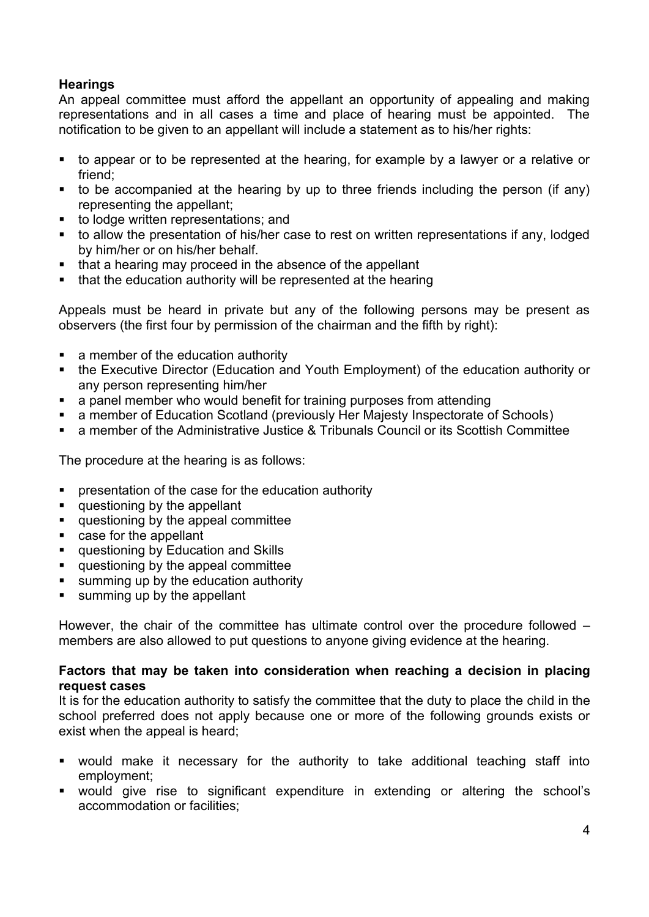# **Hearings**

An appeal committee must afford the appellant an opportunity of appealing and making representations and in all cases a time and place of hearing must be appointed. The notification to be given to an appellant will include a statement as to his/her rights:

- to appear or to be represented at the hearing, for example by a lawyer or a relative or friend;
- $\bullet$  to be accompanied at the hearing by up to three friends including the person (if any) representing the appellant;
- to lodge written representations; and
- to allow the presentation of his/her case to rest on written representations if any, lodged by him/her or on his/her behalf.
- that a hearing may proceed in the absence of the appellant
- that the education authority will be represented at the hearing

Appeals must be heard in private but any of the following persons may be present as observers (the first four by permission of the chairman and the fifth by right):

- a member of the education authority
- the Executive Director (Education and Youth Employment) of the education authority or any person representing him/her
- a panel member who would benefit for training purposes from attending
- a member of Education Scotland (previously Her Majesty Inspectorate of Schools)
- a member of the Administrative Justice & Tribunals Council or its Scottish Committee

The procedure at the hearing is as follows:

- presentation of the case for the education authority
- questioning by the appellant
- questioning by the appeal committee
- case for the appellant
- questioning by Education and Skills
- questioning by the appeal committee
- summing up by the education authority
- summing up by the appellant

However, the chair of the committee has ultimate control over the procedure followed – members are also allowed to put questions to anyone giving evidence at the hearing.

#### **Factors that may be taken into consideration when reaching a decision in placing request cases**

It is for the education authority to satisfy the committee that the duty to place the child in the school preferred does not apply because one or more of the following grounds exists or exist when the appeal is heard;

- would make it necessary for the authority to take additional teaching staff into employment;
- would give rise to significant expenditure in extending or altering the school's accommodation or facilities;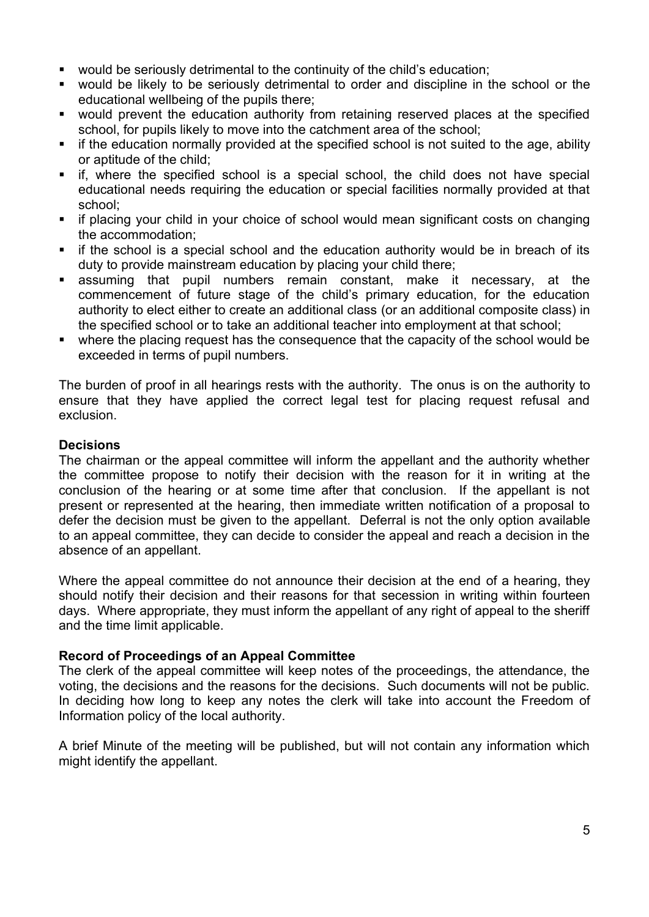- would be seriously detrimental to the continuity of the child's education:
- would be likely to be seriously detrimental to order and discipline in the school or the educational wellbeing of the pupils there;
- would prevent the education authority from retaining reserved places at the specified school, for pupils likely to move into the catchment area of the school;
- **E** if the education normally provided at the specified school is not suited to the age, ability or aptitude of the child;
- if, where the specified school is a special school, the child does not have special educational needs requiring the education or special facilities normally provided at that school;
- if placing your child in your choice of school would mean significant costs on changing the accommodation;
- **E** if the school is a special school and the education authority would be in breach of its duty to provide mainstream education by placing your child there;
- assuming that pupil numbers remain constant, make it necessary, at the commencement of future stage of the child's primary education, for the education authority to elect either to create an additional class (or an additional composite class) in the specified school or to take an additional teacher into employment at that school;
- where the placing request has the consequence that the capacity of the school would be exceeded in terms of pupil numbers.

The burden of proof in all hearings rests with the authority. The onus is on the authority to ensure that they have applied the correct legal test for placing request refusal and exclusion.

#### **Decisions**

The chairman or the appeal committee will inform the appellant and the authority whether the committee propose to notify their decision with the reason for it in writing at the conclusion of the hearing or at some time after that conclusion. If the appellant is not present or represented at the hearing, then immediate written notification of a proposal to defer the decision must be given to the appellant. Deferral is not the only option available to an appeal committee, they can decide to consider the appeal and reach a decision in the absence of an appellant.

Where the appeal committee do not announce their decision at the end of a hearing, they should notify their decision and their reasons for that secession in writing within fourteen days. Where appropriate, they must inform the appellant of any right of appeal to the sheriff and the time limit applicable.

#### **Record of Proceedings of an Appeal Committee**

The clerk of the appeal committee will keep notes of the proceedings, the attendance, the voting, the decisions and the reasons for the decisions. Such documents will not be public. In deciding how long to keep any notes the clerk will take into account the Freedom of Information policy of the local authority.

A brief Minute of the meeting will be published, but will not contain any information which might identify the appellant.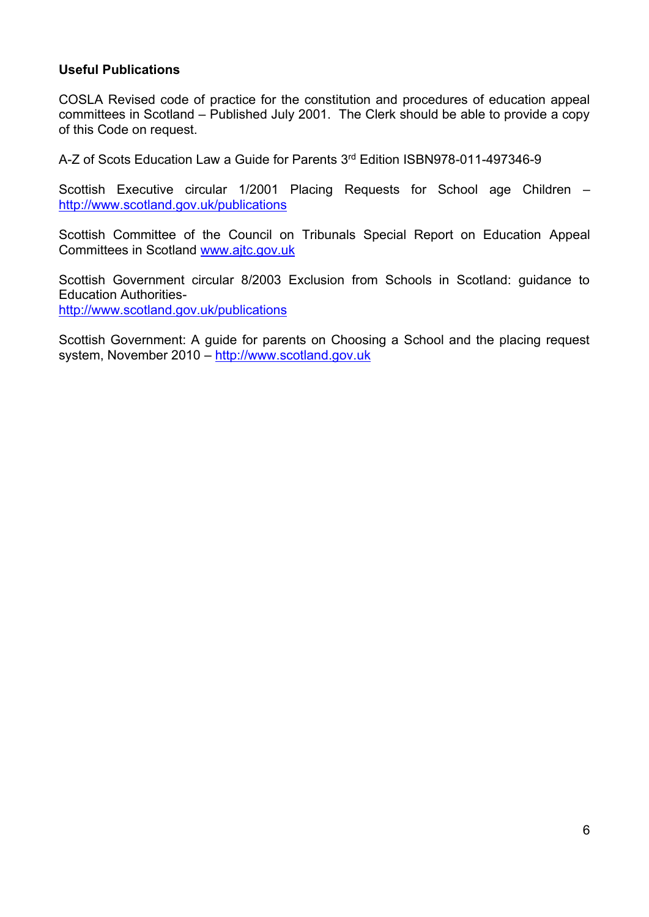## **Useful Publications**

COSLA Revised code of practice for the constitution and procedures of education appeal committees in Scotland – Published July 2001. The Clerk should be able to provide a copy of this Code on request.

A-Z of Scots Education Law a Guide for Parents 3rd Edition ISBN978-011-497346-9

Scottish Executive circular 1/2001 Placing Requests for School age Children – <http://www.scotland.gov.uk/publications>

Scottish Committee of the Council on Tribunals Special Report on Education Appeal Committees in Scotland [www.ajtc.gov.uk](http://www.ajtc.gov.uk/)

Scottish Government circular 8/2003 Exclusion from Schools in Scotland: guidance to Education Authorities<http://www.scotland.gov.uk/publications>

Scottish Government: A guide for parents on Choosing a School and the placing request system, November 2010 – [http://www.scotland.gov.uk](http://www.scotland.gov.uk/)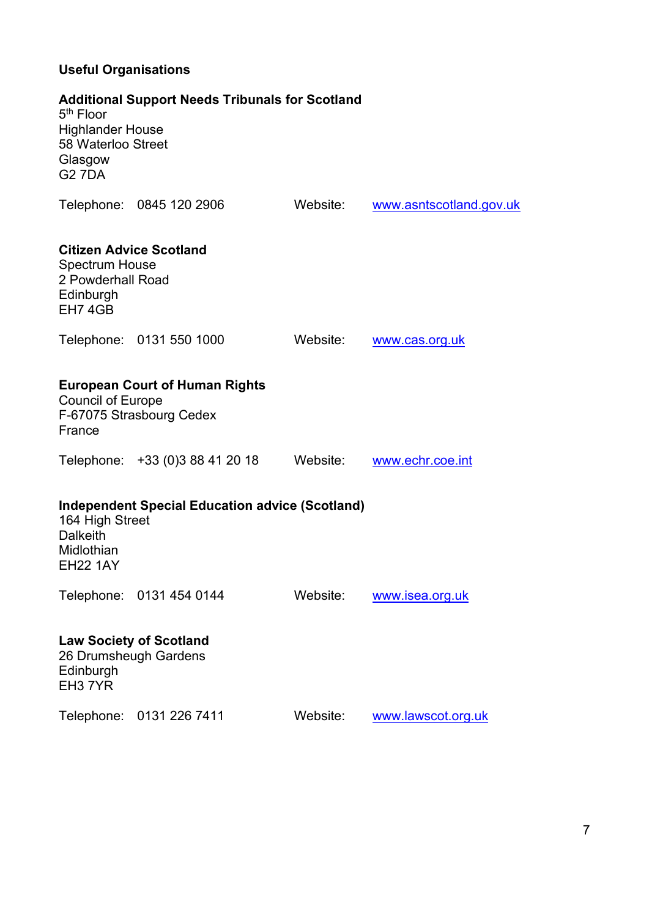# **Useful Organisations**

| 5 <sup>th</sup> Floor<br><b>Highlander House</b><br>58 Waterloo Street<br>Glasgow<br><b>G27DA</b>                             | <b>Additional Support Needs Tribunals for Scotland</b>            |          |                         |  |  |
|-------------------------------------------------------------------------------------------------------------------------------|-------------------------------------------------------------------|----------|-------------------------|--|--|
|                                                                                                                               | Telephone: 0845 120 2906                                          | Website: | www.asntscotland.gov.uk |  |  |
| <b>Citizen Advice Scotland</b><br><b>Spectrum House</b><br>2 Powderhall Road<br>Edinburgh<br>EH74GB                           |                                                                   |          |                         |  |  |
|                                                                                                                               | Telephone: 0131 550 1000                                          | Website: | www.cas.org.uk          |  |  |
| <b>Council of Europe</b><br>France                                                                                            | <b>European Court of Human Rights</b><br>F-67075 Strasbourg Cedex |          |                         |  |  |
|                                                                                                                               | Telephone: +33 (0)3 88 41 20 18                                   | Website: | www.echr.coe.int        |  |  |
| <b>Independent Special Education advice (Scotland)</b><br>164 High Street<br><b>Dalkeith</b><br>Midlothian<br><b>EH22 1AY</b> |                                                                   |          |                         |  |  |
|                                                                                                                               | Telephone: 0131 454 0144                                          | Website: | www.isea.org.uk         |  |  |
| <b>Law Society of Scotland</b><br>26 Drumsheugh Gardens<br>Edinburgh<br>EH <sub>3</sub> 7YR                                   |                                                                   |          |                         |  |  |
|                                                                                                                               | Telephone: 0131 226 7411                                          | Website: | www.lawscot.org.uk      |  |  |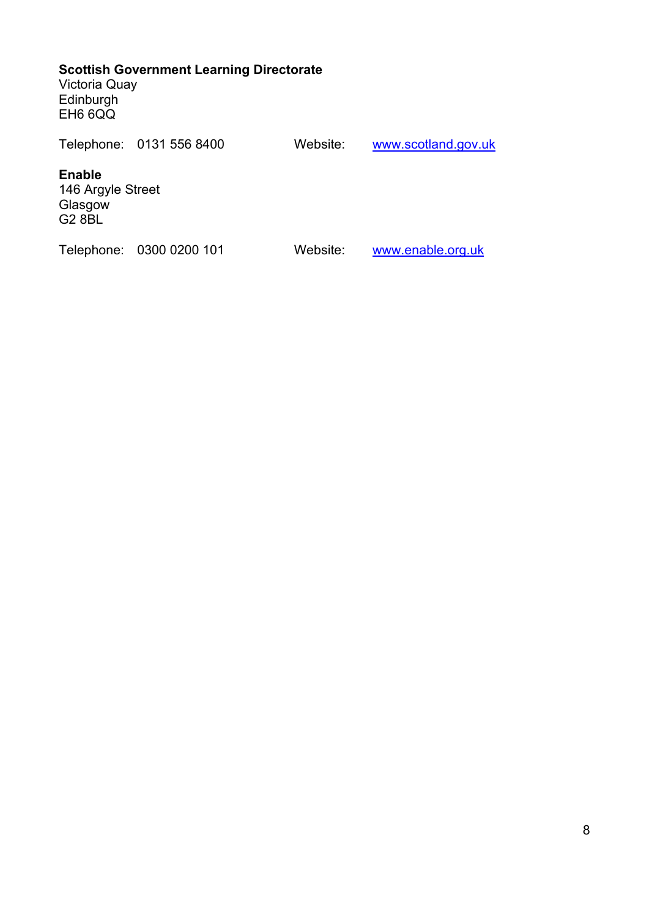## **Scottish Government Learning Directorate**

Victoria Quay Edinburgh EH6 6QQ

|                                                                | Telephone: 0131 556 8400 | Website: | www.scotland.gov.uk |
|----------------------------------------------------------------|--------------------------|----------|---------------------|
| <b>Enable</b><br>146 Argyle Street<br>Glasgow<br><b>G2 8BL</b> |                          |          |                     |
|                                                                | Telephone: 0300 0200 101 | Website: | www.enable.org.uk   |